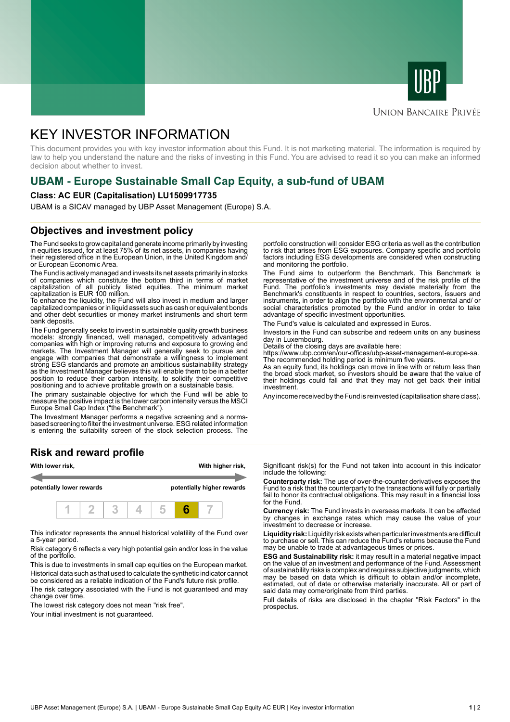



### **UNION BANCAIRE PRIVÉE**

# KEY INVESTOR INFORMATION

This document provides you with key investor information about this Fund. It is not marketing material. The information is required by law to help you understand the nature and the risks of investing in this Fund. You are advised to read it so you can make an informed decision about whether to invest.

# **UBAM - Europe Sustainable Small Cap Equity, a sub-fund of UBAM**

#### **Class: AC EUR (Capitalisation) LU1509917735**

UBAM is a SICAV managed by UBP Asset Management (Europe) S.A.

### **Objectives and investment policy**

The Fund seeks to grow capital and generate income primarily by investing in equities issued, for at least 75% of its net assets, in companies having their registered office in the European Union, in the United Kingdom and/ or European Economic Area.

The Fund is actively managed and invests its net assets primarily in stocks of companies which constitute the bottom third in terms of market capitalization of all publicly listed equities. The minimum market capitalization is EUR 100 million.

To enhance the liquidity, the Fund will also invest in medium and larger capitalized companies or in liquid assets such as cash or equivalent bonds and other debt securities or money market instruments and short term bank deposits.

The Fund generally seeks to invest in sustainable quality growth business models: strongly financed, well managed, competitively advantaged companies with high or improving returns and exposure to growing end markets. The Investment Manager will generally seek to pursue and engage with companies that demonstrate a willingness to implement strong ESG standards and promote an ambitious sustainability strategy as the Investment Manager believes this will enable them to be in a better position to reduce their carbon intensity, to solidify their competitive positioning and to achieve profitable growth on a sustainable basis.

The primary sustainable objective for which the Fund will be able to measure the positive impact is the lower carbon intensity versus the MSCI Europe Small Cap Index ("the Benchmark").

The Investment Manager performs a negative screening and a normsbased screening to filter the investment universe. ESG related information is entering the suitability screen of the stock selection process. The

#### **Risk and reward profile**



This indicator represents the annual historical volatility of the Fund over a 5-year period.

Risk category 6 reflects a very high potential gain and/or loss in the value of the portfolio.

This is due to investments in small cap equities on the European market. Historical data such as that used to calculate the synthetic indicator cannot be considered as a reliable indication of the Fund's future risk profile.

The risk category associated with the Fund is not guaranteed and may change over time.

The lowest risk category does not mean "risk free".

Your initial investment is not quaranteed.

portfolio construction will consider ESG criteria as well as the contribution to risk that arises from ESG exposures. Company specific and portfolio factors including ESG developments are considered when constructing and monitoring the portfolio.

The Fund aims to outperform the Benchmark. This Benchmark is representative of the investment universe and of the risk profile of the Fund. The portfolio's investments may deviate materially from the Benchmark's constituents in respect to countries, sectors, issuers and instruments, in order to align the portfolio with the environmental and/ or social characteristics promoted by the Fund and/or in order to take advantage of specific investment opportunities.

The Fund's value is calculated and expressed in Euros.

Investors in the Fund can subscribe and redeem units on any business day in Luxembourg.

Details of the closing days are available here:

https://www.ubp.com/en/our-offices/ubp-asset-management-europe-sa.

The recommended holding period is minimum five years. As an equity fund, its holdings can move in line with or return less than the broad stock market, so investors should be aware that the value of their holdings could fall and that they may not get back their initial investment.

Any income received by the Fund is reinvested (capitalisation share class).

Significant risk(s) for the Fund not taken into account in this indicator include the following:

**Counterparty risk:** The use of over-the-counter derivatives exposes the Fund to a risk that the counterparty to the transactions will fully or partially fail to honor its contractual obligations. This may result in a financial loss for the Fund.

**Currency risk:** The Fund invests in overseas markets. It can be affected by changes in exchange rates which may cause the value of your investment to decrease or increase.

**Liquidity risk:** Liquidity risk exists when particular investments are difficult to purchase or sell. This can reduce the Fund's returns because the Fund may be unable to trade at advantageous times or prices.

**ESG and Sustainability risk:** it may result in a material negative impact on the value of an investment and performance of the Fund. Assessment of sustainability risks is complex and requires subjective judgments, which may be based on data which is difficult to obtain and/or incomplete, estimated, out of date or otherwise materially inaccurate. All or part of said data may come/originate from third parties.

Full details of risks are disclosed in the chapter "Risk Factors" in the prospectus.